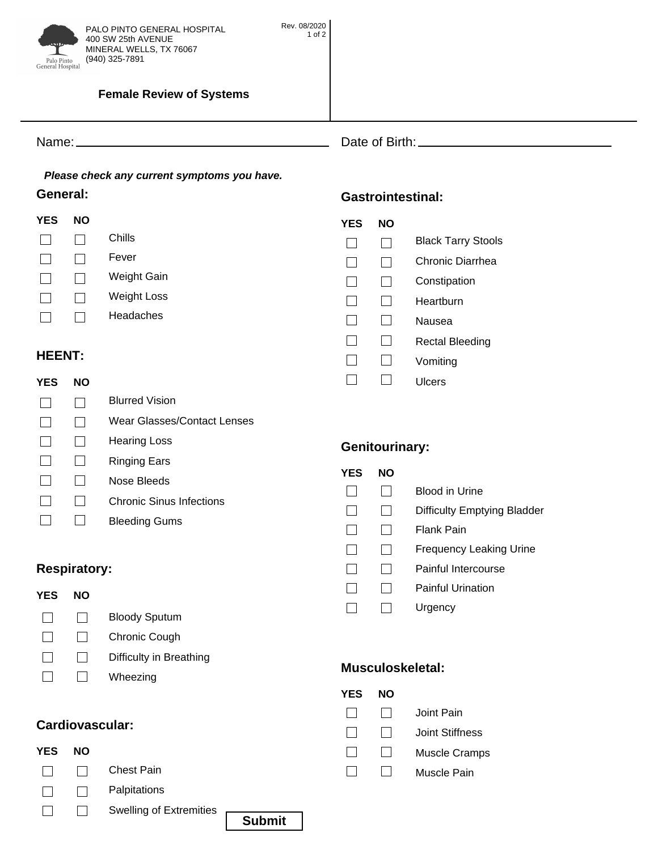

<u> 1990 - Johann Barbara, martin a</u>

#### **Female Review of Systems**

Name: Date of Birth:

# *Please check any current symptoms you have.*

| <b>YES</b> | NΟ |                    |
|------------|----|--------------------|
|            |    | Chills             |
|            |    | Fever              |
|            |    | Weight Gain        |
|            |    | <b>Weight Loss</b> |
|            |    | Headaches          |

### **HEENT:**

| YES | NΟ |                             |
|-----|----|-----------------------------|
|     |    | <b>Blurred Vision</b>       |
|     |    | Wear Glasses/Contact Lenses |
|     |    | Hearing Loss                |
|     |    | Ringing Ears                |
|     |    | Nose Bleeds                 |
|     |    | Chronic Sinus Infections    |
|     |    | <b>Bleeding Gums</b>        |

#### **YES YES NO**

 $\Box$ 

 $\Box$ 

**YES NO**

**YES** 

 $\Box$ 

**Genitourinary:**

- Blood in Urine
- $\overline{\phantom{a}}$  $\Box$ Difficulty Emptying Bladder<br>Flank Pain
	- $\Box$
- $\Box$  $\Box$  $F_{\text{F}}$  and  $F_{\text{F}}$  are  $F_{\text{F}}$  and  $F_{\text{F}}$  are  $F_{\text{F}}$  and  $F_{\text{F}}$  are  $F_{\text{F}}$  and  $F_{\text{F}}$  are  $F_{\text{F}}$  and  $F_{\text{F}}$  are  $F_{\text{F}}$  and  $F_{\text{F}}$  are  $F_{\text{F}}$  and  $F_{\text{F}}$  are  $F_{\text{F}}$  and  $F_{\text{F}}$  a

Muscle Cramps Joint Stiffness

Joint Pain

- $\Box$
- $\Box$ Painful Urination  $\Box$ Painful Urination
- $\overline{\phantom{a}}$  $\Box$ Urgency

**Musculoskeletal:**

**NO** 

 $\Box$  $\Box$  $\Box$ 

#### $\Box$  $\Box$ Chronic Cough

 $\Box$  $\Box$ Difficulty in Breathing

Bloody Sputum

 $\Box$  $\Box$ Wheezing

### Cardiovascular:

**Respiratory:**

**NO** 

 $\Box$ 

**YES NO**

**YES** 

 $\Box$ 

| <b>YES</b> | <b>NO</b> |                                |               |  |
|------------|-----------|--------------------------------|---------------|--|
|            |           | <b>Chest Pain</b>              |               |  |
|            |           | Palpitations                   |               |  |
|            |           | <b>Swelling of Extremities</b> | <b>Submit</b> |  |

## **General: Gastrointestinal:**

| YES | NΟ |                           |
|-----|----|---------------------------|
|     |    | <b>Black Tarry Stools</b> |
|     |    | Chronic Diarrhea          |
|     |    | Constipation              |
|     |    | Heartburn                 |
|     |    | Nausea                    |
|     |    | <b>Rectal Bleeding</b>    |
|     |    | Vomiting                  |
|     |    | Ulcers                    |
|     |    |                           |
|     |    |                           |